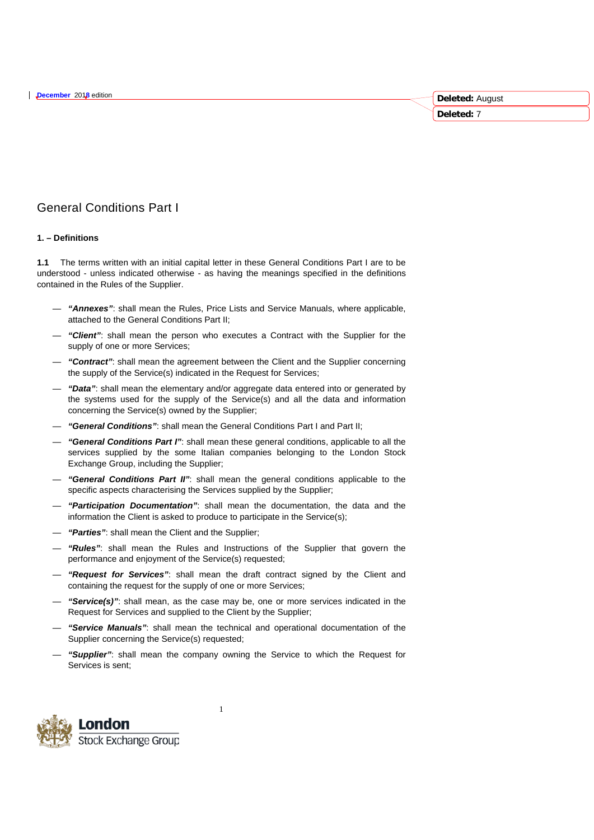# General Conditions Part I

# **1. – Definitions**

**1.1** The terms written with an initial capital letter in these General Conditions Part I are to be understood - unless indicated otherwise - as having the meanings specified in the definitions contained in the Rules of the Supplier.

**Deleted:** August **Deleted:** 7

- *"Annexes"*: shall mean the Rules, Price Lists and Service Manuals, where applicable, attached to the General Conditions Part II;
- *"Client"*: shall mean the person who executes a Contract with the Supplier for the supply of one or more Services;
- *"Contract"*: shall mean the agreement between the Client and the Supplier concerning the supply of the Service(s) indicated in the Request for Services;
- *"Data"*: shall mean the elementary and/or aggregate data entered into or generated by the systems used for the supply of the Service(s) and all the data and information concerning the Service(s) owned by the Supplier;
- *"General Conditions"*: shall mean the General Conditions Part I and Part II;
- *"General Conditions Part I"*: shall mean these general conditions, applicable to all the services supplied by the some Italian companies belonging to the London Stock Exchange Group, including the Supplier;
- *"General Conditions Part II"*: shall mean the general conditions applicable to the specific aspects characterising the Services supplied by the Supplier;
- *"Participation Documentation"*: shall mean the documentation, the data and the information the Client is asked to produce to participate in the Service(s);
- *"Parties"*: shall mean the Client and the Supplier;
- *"Rules"*: shall mean the Rules and Instructions of the Supplier that govern the performance and enjoyment of the Service(s) requested;
- *"Request for Services"*: shall mean the draft contract signed by the Client and containing the request for the supply of one or more Services;
- *"Service(s)"*: shall mean, as the case may be, one or more services indicated in the Request for Services and supplied to the Client by the Supplier;
- *"Service Manuals"*: shall mean the technical and operational documentation of the Supplier concerning the Service(s) requested;
- *"Supplier"*: shall mean the company owning the Service to which the Request for Services is sent;



1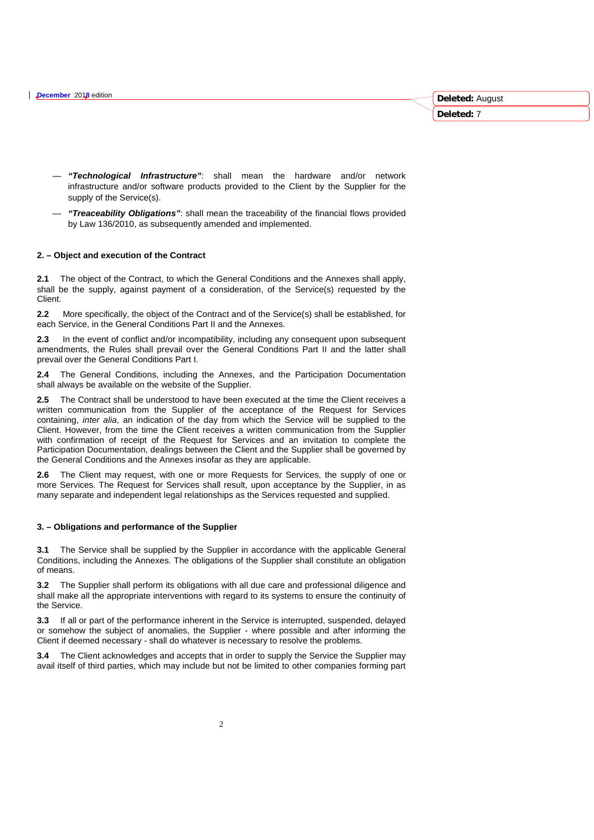- *"Technological Infrastructure"*: shall mean the hardware and/or network infrastructure and/or software products provided to the Client by the Supplier for the supply of the Service(s).
- *"Treaceability Obligations"*: shall mean the traceability of the financial flows provided by Law 136/2010, as subsequently amended and implemented.

## **2. – Object and execution of the Contract**

**2.1** The object of the Contract, to which the General Conditions and the Annexes shall apply, shall be the supply, against payment of a consideration, of the Service(s) requested by the Client.

**2.2** More specifically, the object of the Contract and of the Service(s) shall be established, for each Service, in the General Conditions Part II and the Annexes.

**2.3** In the event of conflict and/or incompatibility, including any consequent upon subsequent amendments, the Rules shall prevail over the General Conditions Part II and the latter shall prevail over the General Conditions Part I.

**2.4** The General Conditions, including the Annexes, and the Participation Documentation shall always be available on the website of the Supplier.

**2.5** The Contract shall be understood to have been executed at the time the Client receives a written communication from the Supplier of the acceptance of the Request for Services containing, *inter alia*, an indication of the day from which the Service will be supplied to the Client. However, from the time the Client receives a written communication from the Supplier with confirmation of receipt of the Request for Services and an invitation to complete the Participation Documentation, dealings between the Client and the Supplier shall be governed by the General Conditions and the Annexes insofar as they are applicable.

**2.6** The Client may request, with one or more Requests for Services, the supply of one or more Services. The Request for Services shall result, upon acceptance by the Supplier, in as many separate and independent legal relationships as the Services requested and supplied.

#### **3. – Obligations and performance of the Supplier**

**3.1** The Service shall be supplied by the Supplier in accordance with the applicable General Conditions, including the Annexes. The obligations of the Supplier shall constitute an obligation of means.

**3.2** The Supplier shall perform its obligations with all due care and professional diligence and shall make all the appropriate interventions with regard to its systems to ensure the continuity of the Service.

**3.3** If all or part of the performance inherent in the Service is interrupted, suspended, delayed or somehow the subject of anomalies, the Supplier - where possible and after informing the Client if deemed necessary - shall do whatever is necessary to resolve the problems.

**3.4** The Client acknowledges and accepts that in order to supply the Service the Supplier may avail itself of third parties, which may include but not be limited to other companies forming part **Deleted:** August **Deleted:** 7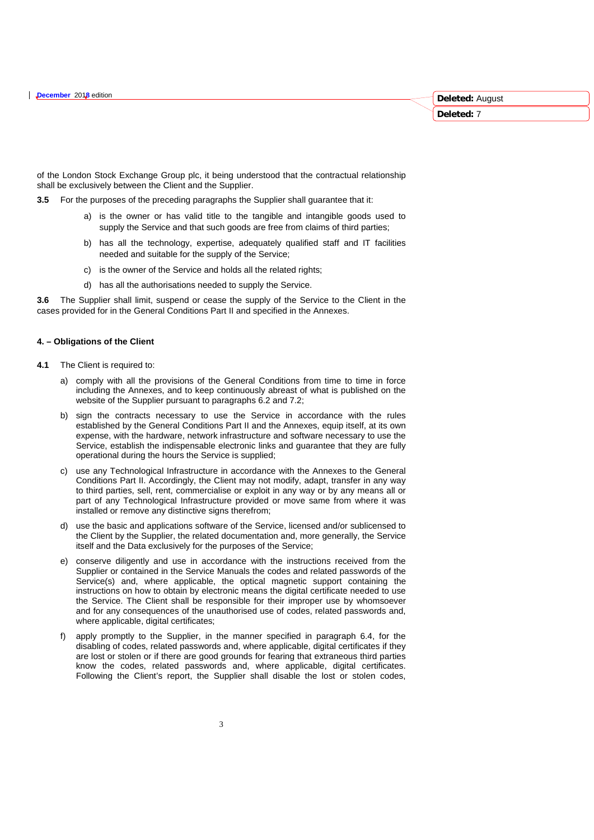of the London Stock Exchange Group plc, it being understood that the contractual relationship shall be exclusively between the Client and the Supplier.

**Deleted:** August **Deleted:** 7

**3.5** For the purposes of the preceding paragraphs the Supplier shall guarantee that it:

- a) is the owner or has valid title to the tangible and intangible goods used to supply the Service and that such goods are free from claims of third parties;
- b) has all the technology, expertise, adequately qualified staff and IT facilities needed and suitable for the supply of the Service;
- c) is the owner of the Service and holds all the related rights;
- d) has all the authorisations needed to supply the Service.

**3.6** The Supplier shall limit, suspend or cease the supply of the Service to the Client in the cases provided for in the General Conditions Part II and specified in the Annexes.

#### **4. – Obligations of the Client**

- **4.1** The Client is required to:
	- a) comply with all the provisions of the General Conditions from time to time in force including the Annexes, and to keep continuously abreast of what is published on the website of the Supplier pursuant to paragraphs 6.2 and 7.2;
	- b) sign the contracts necessary to use the Service in accordance with the rules established by the General Conditions Part II and the Annexes, equip itself, at its own expense, with the hardware, network infrastructure and software necessary to use the Service, establish the indispensable electronic links and guarantee that they are fully operational during the hours the Service is supplied;
	- c) use any Technological Infrastructure in accordance with the Annexes to the General Conditions Part II. Accordingly, the Client may not modify, adapt, transfer in any way to third parties, sell, rent, commercialise or exploit in any way or by any means all or part of any Technological Infrastructure provided or move same from where it was installed or remove any distinctive signs therefrom;
	- d) use the basic and applications software of the Service, licensed and/or sublicensed to the Client by the Supplier, the related documentation and, more generally, the Service itself and the Data exclusively for the purposes of the Service;
	- e) conserve diligently and use in accordance with the instructions received from the Supplier or contained in the Service Manuals the codes and related passwords of the Service(s) and, where applicable, the optical magnetic support containing the instructions on how to obtain by electronic means the digital certificate needed to use the Service. The Client shall be responsible for their improper use by whomsoever and for any consequences of the unauthorised use of codes, related passwords and, where applicable, digital certificates:
	- f) apply promptly to the Supplier, in the manner specified in paragraph 6.4, for the disabling of codes, related passwords and, where applicable, digital certificates if they are lost or stolen or if there are good grounds for fearing that extraneous third parties know the codes, related passwords and, where applicable, digital certificates. Following the Client's report, the Supplier shall disable the lost or stolen codes,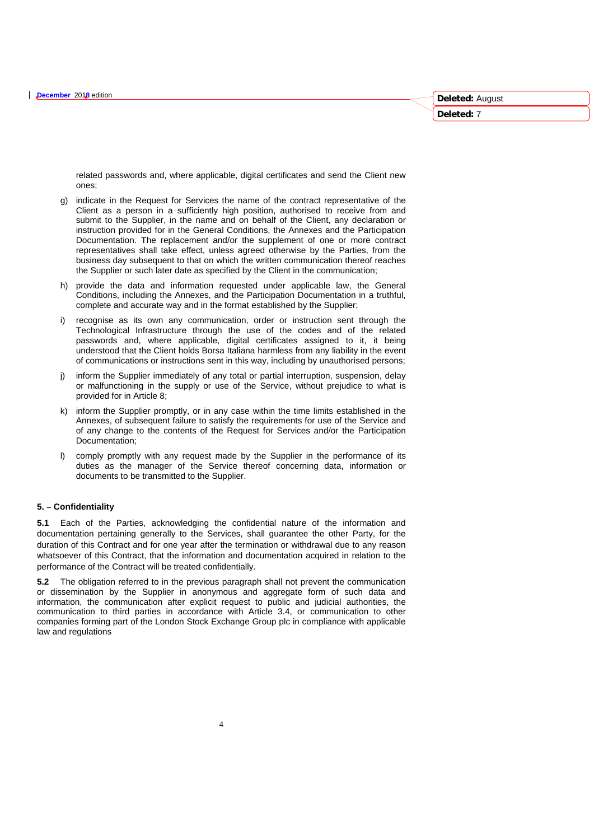ones;

related passwords and, where applicable, digital certificates and send the Client new

**Deleted:** August **Deleted:** 7

- g) indicate in the Request for Services the name of the contract representative of the Client as a person in a sufficiently high position, authorised to receive from and submit to the Supplier, in the name and on behalf of the Client, any declaration or instruction provided for in the General Conditions, the Annexes and the Participation Documentation. The replacement and/or the supplement of one or more contract representatives shall take effect, unless agreed otherwise by the Parties, from the business day subsequent to that on which the written communication thereof reaches the Supplier or such later date as specified by the Client in the communication;
- h) provide the data and information requested under applicable law, the General Conditions, including the Annexes, and the Participation Documentation in a truthful, complete and accurate way and in the format established by the Supplier;
- i) recognise as its own any communication, order or instruction sent through the Technological Infrastructure through the use of the codes and of the related passwords and, where applicable, digital certificates assigned to it, it being understood that the Client holds Borsa Italiana harmless from any liability in the event of communications or instructions sent in this way, including by unauthorised persons;
- j) inform the Supplier immediately of any total or partial interruption, suspension, delay or malfunctioning in the supply or use of the Service, without prejudice to what is provided for in Article 8;
- k) inform the Supplier promptly, or in any case within the time limits established in the Annexes, of subsequent failure to satisfy the requirements for use of the Service and of any change to the contents of the Request for Services and/or the Participation Documentation;
- comply promptly with any request made by the Supplier in the performance of its duties as the manager of the Service thereof concerning data, information or documents to be transmitted to the Supplier.

# **5. – Confidentiality**

**5.1** Each of the Parties, acknowledging the confidential nature of the information and documentation pertaining generally to the Services, shall guarantee the other Party, for the duration of this Contract and for one year after the termination or withdrawal due to any reason whatsoever of this Contract, that the information and documentation acquired in relation to the performance of the Contract will be treated confidentially.

**5.2** The obligation referred to in the previous paragraph shall not prevent the communication or dissemination by the Supplier in anonymous and aggregate form of such data and information, the communication after explicit request to public and judicial authorities, the communication to third parties in accordance with Article 3.4, or communication to other companies forming part of the London Stock Exchange Group plc in compliance with applicable law and regulations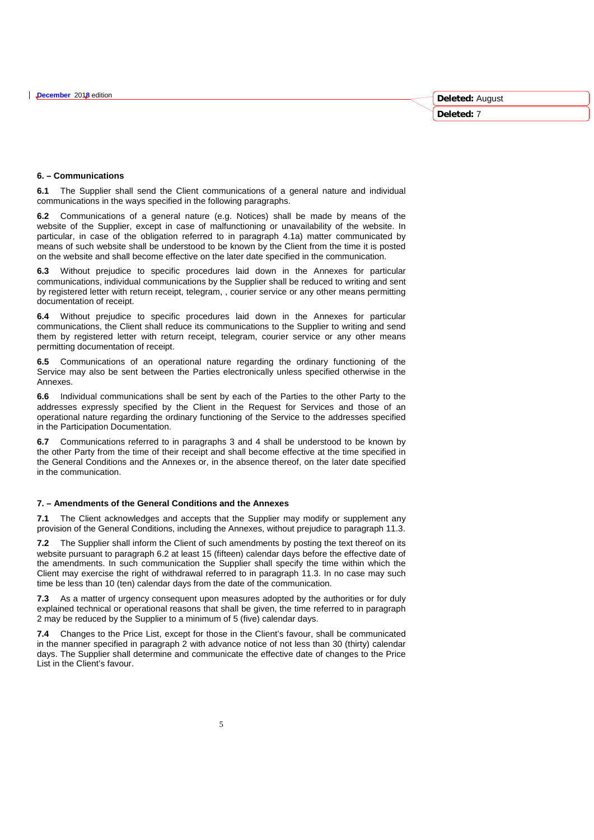#### **6. – Communications**

**6.1** The Supplier shall send the Client communications of a general nature and individual communications in the ways specified in the following paragraphs.

**6.2** Communications of a general nature (e.g. Notices) shall be made by means of the website of the Supplier, except in case of malfunctioning or unavailability of the website. In particular, in case of the obligation referred to in paragraph 4.1a) matter communicated by means of such website shall be understood to be known by the Client from the time it is posted on the website and shall become effective on the later date specified in the communication.

**6.3** Without prejudice to specific procedures laid down in the Annexes for particular communications, individual communications by the Supplier shall be reduced to writing and sent by registered letter with return receipt, telegram, , courier service or any other means permitting documentation of receipt.

**6.4** Without prejudice to specific procedures laid down in the Annexes for particular communications, the Client shall reduce its communications to the Supplier to writing and send them by registered letter with return receipt, telegram, courier service or any other means permitting documentation of receipt.

**6.5** Communications of an operational nature regarding the ordinary functioning of the Service may also be sent between the Parties electronically unless specified otherwise in the Annexes.

**6.6** Individual communications shall be sent by each of the Parties to the other Party to the addresses expressly specified by the Client in the Request for Services and those of an operational nature regarding the ordinary functioning of the Service to the addresses specified in the Participation Documentation.

**6.7** Communications referred to in paragraphs 3 and 4 shall be understood to be known by the other Party from the time of their receipt and shall become effective at the time specified in the General Conditions and the Annexes or, in the absence thereof, on the later date specified in the communication.

#### **7. – Amendments of the General Conditions and the Annexes**

**7.1** The Client acknowledges and accepts that the Supplier may modify or supplement any provision of the General Conditions, including the Annexes, without prejudice to paragraph 11.3.

**7.2** The Supplier shall inform the Client of such amendments by posting the text thereof on its website pursuant to paragraph 6.2 at least 15 (fifteen) calendar days before the effective date of the amendments. In such communication the Supplier shall specify the time within which the Client may exercise the right of withdrawal referred to in paragraph 11.3. In no case may such time be less than 10 (ten) calendar days from the date of the communication.

**7.3** As a matter of urgency consequent upon measures adopted by the authorities or for duly explained technical or operational reasons that shall be given, the time referred to in paragraph 2 may be reduced by the Supplier to a minimum of 5 (five) calendar days.

**7.4** Changes to the Price List, except for those in the Client's favour, shall be communicated in the manner specified in paragraph 2 with advance notice of not less than 30 (thirty) calendar days. The Supplier shall determine and communicate the effective date of changes to the Price List in the Client's favour.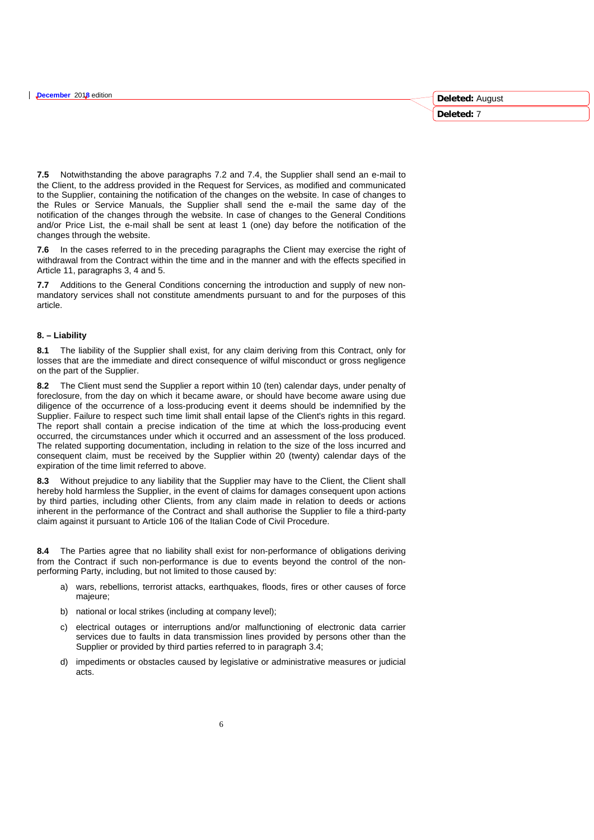**7.5** Notwithstanding the above paragraphs 7.2 and 7.4, the Supplier shall send an e-mail to the Client, to the address provided in the Request for Services, as modified and communicated to the Supplier, containing the notification of the changes on the website. In case of changes to the Rules or Service Manuals, the Supplier shall send the e-mail the same day of the notification of the changes through the website. In case of changes to the General Conditions and/or Price List, the e-mail shall be sent at least 1 (one) day before the notification of the changes through the website.

**7.6** In the cases referred to in the preceding paragraphs the Client may exercise the right of withdrawal from the Contract within the time and in the manner and with the effects specified in Article 11, paragraphs 3, 4 and 5.

**7.7** Additions to the General Conditions concerning the introduction and supply of new nonmandatory services shall not constitute amendments pursuant to and for the purposes of this article.

#### **8. – Liability**

**8.1** The liability of the Supplier shall exist, for any claim deriving from this Contract, only for losses that are the immediate and direct consequence of wilful misconduct or gross negligence on the part of the Supplier.

**8.2** The Client must send the Supplier a report within 10 (ten) calendar days, under penalty of foreclosure, from the day on which it became aware, or should have become aware using due diligence of the occurrence of a loss-producing event it deems should be indemnified by the Supplier. Failure to respect such time limit shall entail lapse of the Client's rights in this regard. The report shall contain a precise indication of the time at which the loss-producing event occurred, the circumstances under which it occurred and an assessment of the loss produced. The related supporting documentation, including in relation to the size of the loss incurred and consequent claim, must be received by the Supplier within 20 (twenty) calendar days of the expiration of the time limit referred to above.

**8.3** Without prejudice to any liability that the Supplier may have to the Client, the Client shall hereby hold harmless the Supplier, in the event of claims for damages consequent upon actions by third parties, including other Clients, from any claim made in relation to deeds or actions inherent in the performance of the Contract and shall authorise the Supplier to file a third-party claim against it pursuant to Article 106 of the Italian Code of Civil Procedure.

**8.4** The Parties agree that no liability shall exist for non-performance of obligations deriving from the Contract if such non-performance is due to events beyond the control of the nonperforming Party, including, but not limited to those caused by:

- a) wars, rebellions, terrorist attacks, earthquakes, floods, fires or other causes of force majeure;
- b) national or local strikes (including at company level);
- c) electrical outages or interruptions and/or malfunctioning of electronic data carrier services due to faults in data transmission lines provided by persons other than the Supplier or provided by third parties referred to in paragraph 3.4;
- d) impediments or obstacles caused by legislative or administrative measures or judicial acts.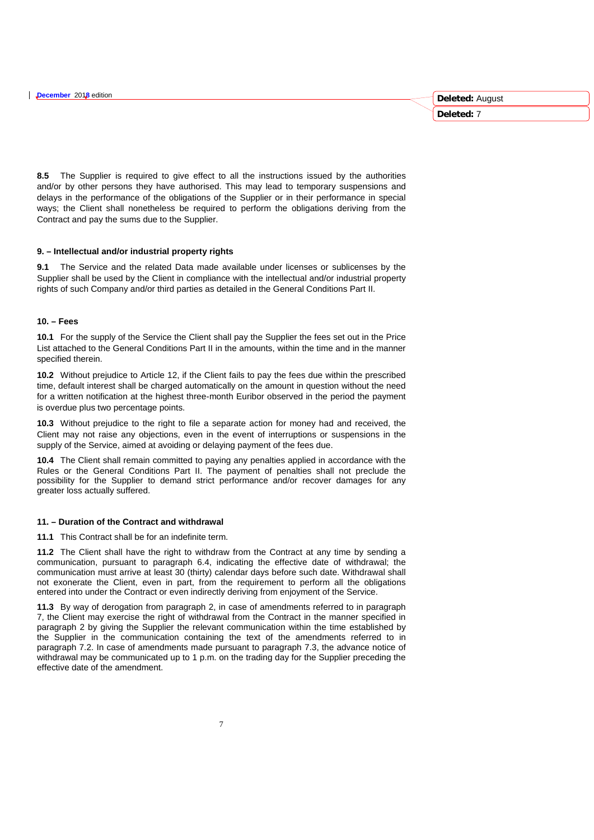**8.5** The Supplier is required to give effect to all the instructions issued by the authorities and/or by other persons they have authorised. This may lead to temporary suspensions and delays in the performance of the obligations of the Supplier or in their performance in special ways; the Client shall nonetheless be required to perform the obligations deriving from the Contract and pay the sums due to the Supplier.

#### **9. – Intellectual and/or industrial property rights**

**9.1** The Service and the related Data made available under licenses or sublicenses by the Supplier shall be used by the Client in compliance with the intellectual and/or industrial property rights of such Company and/or third parties as detailed in the General Conditions Part II.

## **10. – Fees**

**10.1** For the supply of the Service the Client shall pay the Supplier the fees set out in the Price List attached to the General Conditions Part II in the amounts, within the time and in the manner specified therein.

**10.2** Without prejudice to Article 12, if the Client fails to pay the fees due within the prescribed time, default interest shall be charged automatically on the amount in question without the need for a written notification at the highest three-month Euribor observed in the period the payment is overdue plus two percentage points.

**10.3** Without prejudice to the right to file a separate action for money had and received, the Client may not raise any objections, even in the event of interruptions or suspensions in the supply of the Service, aimed at avoiding or delaying payment of the fees due.

**10.4** The Client shall remain committed to paying any penalties applied in accordance with the Rules or the General Conditions Part II. The payment of penalties shall not preclude the possibility for the Supplier to demand strict performance and/or recover damages for any greater loss actually suffered.

# **11. – Duration of the Contract and withdrawal**

**11.1** This Contract shall be for an indefinite term.

**11.2** The Client shall have the right to withdraw from the Contract at any time by sending a communication, pursuant to paragraph 6.4, indicating the effective date of withdrawal; the communication must arrive at least 30 (thirty) calendar days before such date. Withdrawal shall not exonerate the Client, even in part, from the requirement to perform all the obligations entered into under the Contract or even indirectly deriving from enjoyment of the Service.

**11.3** By way of derogation from paragraph 2, in case of amendments referred to in paragraph 7, the Client may exercise the right of withdrawal from the Contract in the manner specified in paragraph 2 by giving the Supplier the relevant communication within the time established by the Supplier in the communication containing the text of the amendments referred to in paragraph 7.2. In case of amendments made pursuant to paragraph 7.3, the advance notice of withdrawal may be communicated up to 1 p.m. on the trading day for the Supplier preceding the effective date of the amendment.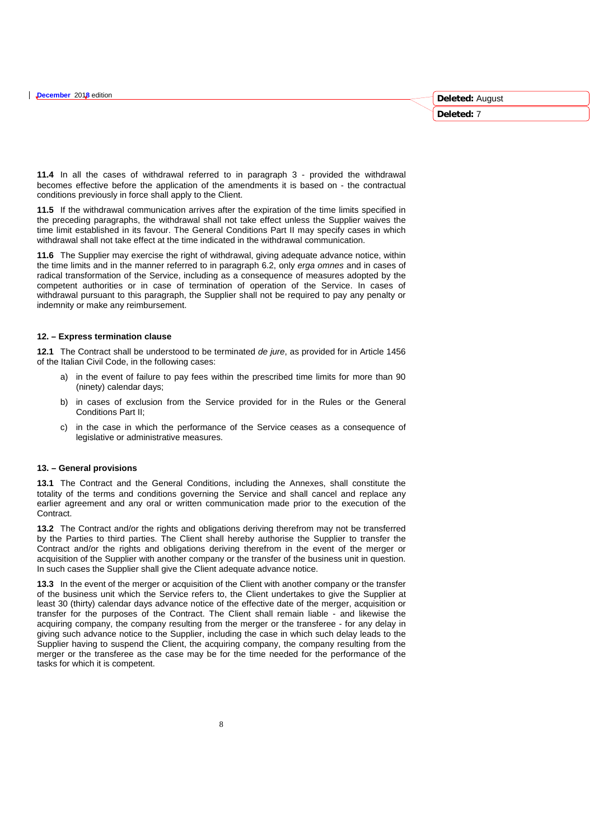**11.4** In all the cases of withdrawal referred to in paragraph 3 - provided the withdrawal becomes effective before the application of the amendments it is based on - the contractual conditions previously in force shall apply to the Client.

**11.5** If the withdrawal communication arrives after the expiration of the time limits specified in the preceding paragraphs, the withdrawal shall not take effect unless the Supplier waives the time limit established in its favour. The General Conditions Part II may specify cases in which withdrawal shall not take effect at the time indicated in the withdrawal communication.

**11.6** The Supplier may exercise the right of withdrawal, giving adequate advance notice, within the time limits and in the manner referred to in paragraph 6.2, only *erga omnes* and in cases of radical transformation of the Service, including as a consequence of measures adopted by the competent authorities or in case of termination of operation of the Service. In cases of withdrawal pursuant to this paragraph, the Supplier shall not be required to pay any penalty or indemnity or make any reimbursement.

#### **12. – Express termination clause**

**12.1** The Contract shall be understood to be terminated *de jure*, as provided for in Article 1456 of the Italian Civil Code, in the following cases:

- a) in the event of failure to pay fees within the prescribed time limits for more than 90 (ninety) calendar days;
- b) in cases of exclusion from the Service provided for in the Rules or the General Conditions Part II;
- c) in the case in which the performance of the Service ceases as a consequence of legislative or administrative measures.

# **13. – General provisions**

**13.1** The Contract and the General Conditions, including the Annexes, shall constitute the totality of the terms and conditions governing the Service and shall cancel and replace any earlier agreement and any oral or written communication made prior to the execution of the **Contract.** 

**13.2** The Contract and/or the rights and obligations deriving therefrom may not be transferred by the Parties to third parties. The Client shall hereby authorise the Supplier to transfer the Contract and/or the rights and obligations deriving therefrom in the event of the merger or acquisition of the Supplier with another company or the transfer of the business unit in question. In such cases the Supplier shall give the Client adequate advance notice.

**13.3** In the event of the merger or acquisition of the Client with another company or the transfer of the business unit which the Service refers to, the Client undertakes to give the Supplier at least 30 (thirty) calendar days advance notice of the effective date of the merger, acquisition or transfer for the purposes of the Contract. The Client shall remain liable - and likewise the acquiring company, the company resulting from the merger or the transferee - for any delay in giving such advance notice to the Supplier, including the case in which such delay leads to the Supplier having to suspend the Client, the acquiring company, the company resulting from the merger or the transferee as the case may be for the time needed for the performance of the tasks for which it is competent.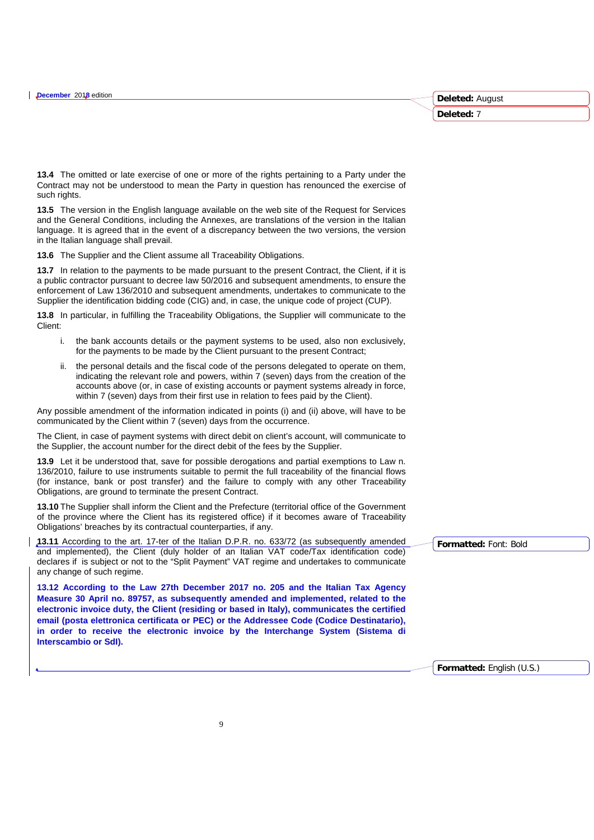**13.4** The omitted or late exercise of one or more of the rights pertaining to a Party under the Contract may not be understood to mean the Party in question has renounced the exercise of such rights.

**13.5** The version in the English language available on the web site of the Request for Services and the General Conditions, including the Annexes, are translations of the version in the Italian language. It is agreed that in the event of a discrepancy between the two versions, the version in the Italian language shall prevail.

**13.6** The Supplier and the Client assume all Traceability Obligations.

**13.7** In relation to the payments to be made pursuant to the present Contract, the Client, if it is a public contractor pursuant to decree law 50/2016 and subsequent amendments, to ensure the enforcement of Law 136/2010 and subsequent amendments, undertakes to communicate to the Supplier the identification bidding code (CIG) and, in case, the unique code of project (CUP).

**13.8** In particular, in fulfilling the Traceability Obligations, the Supplier will communicate to the Client:

- i. the bank accounts details or the payment systems to be used, also non exclusively, for the payments to be made by the Client pursuant to the present Contract;
- the personal details and the fiscal code of the persons delegated to operate on them, indicating the relevant role and powers, within 7 (seven) days from the creation of the accounts above (or, in case of existing accounts or payment systems already in force, within 7 (seven) days from their first use in relation to fees paid by the Client).

Any possible amendment of the information indicated in points (i) and (ii) above, will have to be communicated by the Client within 7 (seven) days from the occurrence.

The Client, in case of payment systems with direct debit on client's account, will communicate to the Supplier, the account number for the direct debit of the fees by the Supplier.

**13.9** Let it be understood that, save for possible derogations and partial exemptions to Law n. 136/2010, failure to use instruments suitable to permit the full traceability of the financial flows (for instance, bank or post transfer) and the failure to comply with any other Traceability Obligations, are ground to terminate the present Contract.

**13.10** The Supplier shall inform the Client and the Prefecture (territorial office of the Government of the province where the Client has its registered office) if it becomes aware of Traceability Obligations' breaches by its contractual counterparties, if any.

**13.11** According to the art. 17-ter of the Italian D.P.R. no. 633/72 (as subsequently amended and implemented), the Client (duly holder of an Italian VAT code/Tax identification code) declares if is subject or not to the "Split Payment" VAT regime and undertakes to communicate any change of such regime.

**13.12 According to the Law 27th December 2017 no. 205 and the Italian Tax Agency Measure 30 April no. 89757, as subsequently amended and implemented, related to the electronic invoice duty, the Client (residing or based in Italy), communicates the certified email (posta elettronica certificata or PEC) or the Addressee Code (Codice Destinatario), in order to receive the electronic invoice by the Interchange System (Sistema di Interscambio or SdI).**

**Formatted:** Font: Bold

**Formatted:** English (U.S.)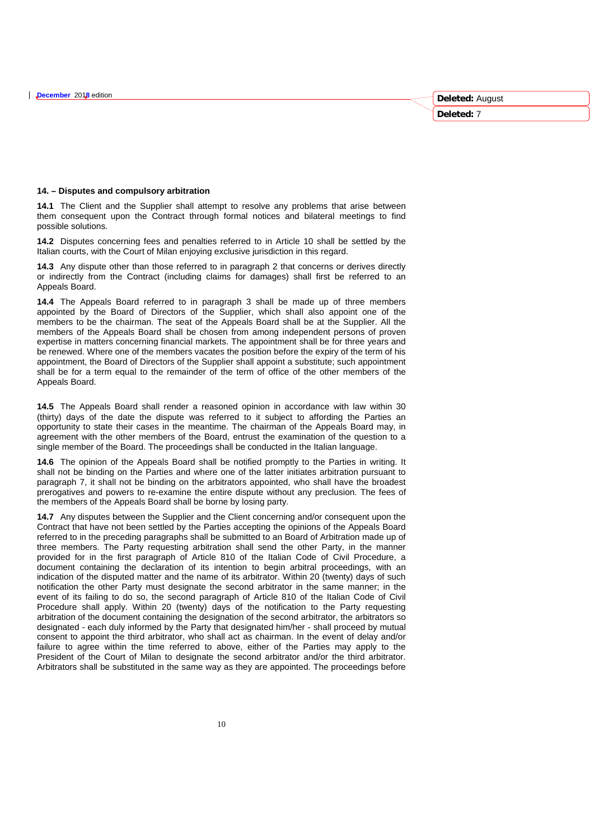# **14. – Disputes and compulsory arbitration**

**14.1** The Client and the Supplier shall attempt to resolve any problems that arise between them consequent upon the Contract through formal notices and bilateral meetings to find possible solutions.

**14.2** Disputes concerning fees and penalties referred to in Article 10 shall be settled by the Italian courts, with the Court of Milan enjoying exclusive jurisdiction in this regard.

**14.3** Any dispute other than those referred to in paragraph 2 that concerns or derives directly or indirectly from the Contract (including claims for damages) shall first be referred to an Appeals Board.

**14.4** The Appeals Board referred to in paragraph 3 shall be made up of three members appointed by the Board of Directors of the Supplier, which shall also appoint one of the members to be the chairman. The seat of the Appeals Board shall be at the Supplier. All the members of the Appeals Board shall be chosen from among independent persons of proven expertise in matters concerning financial markets. The appointment shall be for three years and be renewed. Where one of the members vacates the position before the expiry of the term of his appointment, the Board of Directors of the Supplier shall appoint a substitute; such appointment shall be for a term equal to the remainder of the term of office of the other members of the Appeals Board.

**14.5** The Appeals Board shall render a reasoned opinion in accordance with law within 30 (thirty) days of the date the dispute was referred to it subject to affording the Parties an opportunity to state their cases in the meantime. The chairman of the Appeals Board may, in agreement with the other members of the Board, entrust the examination of the question to a single member of the Board. The proceedings shall be conducted in the Italian language.

**14.6** The opinion of the Appeals Board shall be notified promptly to the Parties in writing. It shall not be binding on the Parties and where one of the latter initiates arbitration pursuant to paragraph 7, it shall not be binding on the arbitrators appointed, who shall have the broadest prerogatives and powers to re-examine the entire dispute without any preclusion. The fees of the members of the Appeals Board shall be borne by losing party.

**14.7** Any disputes between the Supplier and the Client concerning and/or consequent upon the Contract that have not been settled by the Parties accepting the opinions of the Appeals Board referred to in the preceding paragraphs shall be submitted to an Board of Arbitration made up of three members. The Party requesting arbitration shall send the other Party, in the manner provided for in the first paragraph of Article 810 of the Italian Code of Civil Procedure, a document containing the declaration of its intention to begin arbitral proceedings, with an indication of the disputed matter and the name of its arbitrator. Within 20 (twenty) days of such notification the other Party must designate the second arbitrator in the same manner; in the event of its failing to do so, the second paragraph of Article 810 of the Italian Code of Civil Procedure shall apply. Within 20 (twenty) days of the notification to the Party requesting arbitration of the document containing the designation of the second arbitrator, the arbitrators so designated - each duly informed by the Party that designated him/her - shall proceed by mutual consent to appoint the third arbitrator, who shall act as chairman. In the event of delay and/or failure to agree within the time referred to above, either of the Parties may apply to the President of the Court of Milan to designate the second arbitrator and/or the third arbitrator. Arbitrators shall be substituted in the same way as they are appointed. The proceedings before **Deleted:** August **Deleted:** 7